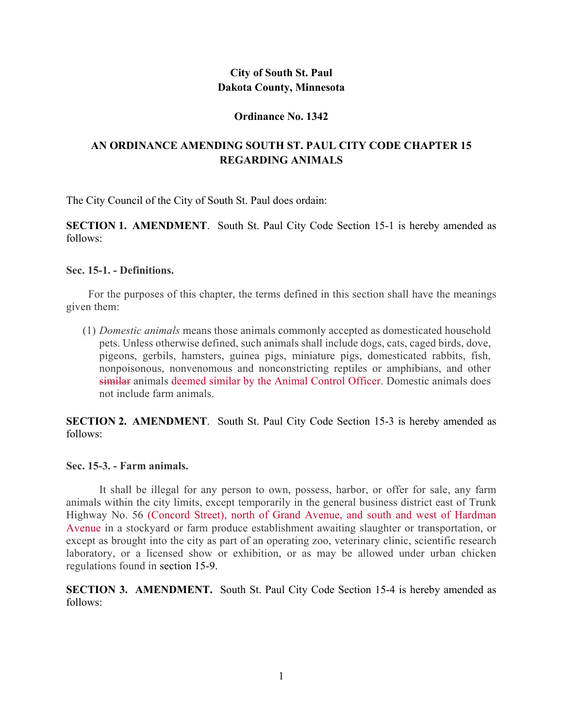## **City of South St. Paul Dakota County, Minnesota**

## **Ordinance No. 1342**

# **AN ORDINANCE AMENDING SOUTH ST. PAUL CITY CODE CHAPTER 15 REGARDING ANIMALS**

The City Council of the City of South St. Paul does ordain:

**SECTION 1. AMENDMENT**. South St. Paul City Code Section 15-1 is hereby amended as follows:

## **Sec. 15-1. - Definitions.**

For the purposes of this chapter, the terms defined in this section shall have the meanings given them:

(1) *Domestic animals* means those animals commonly accepted as domesticated household pets. Unless otherwise defined, such animals shall include dogs, cats, caged birds, dove, pigeons, gerbils, hamsters, guinea pigs, miniature pigs, domesticated rabbits, fish, nonpoisonous, nonvenomous and nonconstricting reptiles or amphibians, and other similar animals deemed similar by the Animal Control Officer. Domestic animals does not include farm animals.

**SECTION 2. AMENDMENT**. South St. Paul City Code Section 15-3 is hereby amended as follows:

## **Sec. 15-3. - Farm animals.**

It shall be illegal for any person to own, possess, harbor, or offer for sale, any farm animals within the city limits, except temporarily in the general business district east of Trunk Highway No. 56 (Concord Street), north of Grand Avenue, and south and west of Hardman Avenue in a stockyard or farm produce establishment awaiting slaughter or transportation, or except as brought into the city as part of an operating zoo, veterinary clinic, scientific research laboratory, or a licensed show or exhibition, or as may be allowed under urban chicken regulations found in section 15-9.

**SECTION 3. AMENDMENT.** South St. Paul City Code Section 15-4 is hereby amended as follows: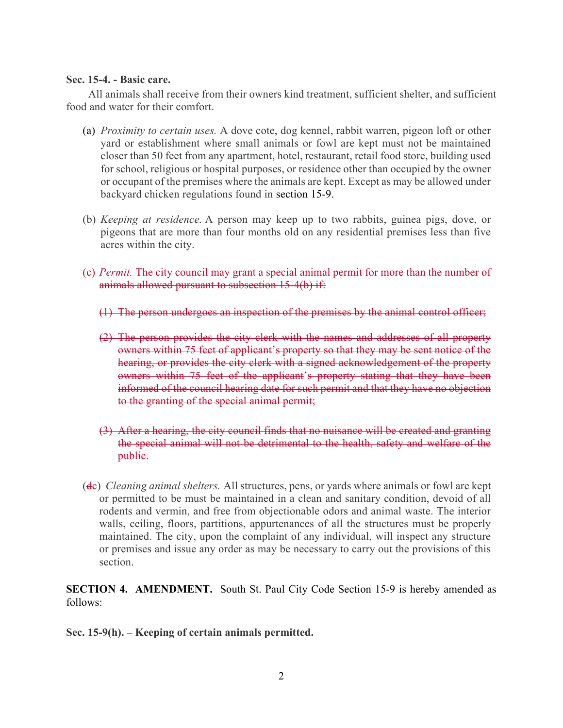## **Sec. 15-4. - Basic care.**

All animals shall receive from their owners kind treatment, sufficient shelter, and sufficient food and water for their comfort.

- (a) *Proximity to certain uses.* A dove cote, dog kennel, rabbit warren, pigeon loft or other yard or establishment where small animals or fowl are kept must not be maintained closer than 50 feet from any apartment, hotel, restaurant, retail food store, building used for school, religious or hospital purposes, or residence other than occupied by the owner or occupant of the premises where the animals are kept. Except as may be allowed under backyard chicken regulations found in section 15-9.
- (b) *Keeping at residence.* A person may keep up to two rabbits, guinea pigs, dove, or pigeons that are more than four months old on any residential premises less than five acres within the city.
- (c) *Permit.* The city council may grant a special animal permit for more than the number of animals allowed pursuant to subsection 15-4(b) if:
	- (1) The person undergoes an inspection of the premises by the animal control officer;
	- (2) The person provides the city clerk with the names and addresses of all property owners within 75 feet of applicant's property so that they may be sent notice of the hearing, or provides the city clerk with a signed acknowledgement of the property owners within 75 feet of the applicant's property stating that they have been informed of the council hearing date for such permit and that they have no objection to the granting of the special animal permit;
	- (3) After a hearing, the city council finds that no nuisance will be created and granting the special animal will not be detrimental to the health, safety and welfare of the public.
- (dc) *Cleaning animal shelters.* All structures, pens, or yards where animals or fowl are kept or permitted to be must be maintained in a clean and sanitary condition, devoid of all rodents and vermin, and free from objectionable odors and animal waste. The interior walls, ceiling, floors, partitions, appurtenances of all the structures must be properly maintained. The city, upon the complaint of any individual, will inspect any structure or premises and issue any order as may be necessary to carry out the provisions of this section.

**SECTION 4. AMENDMENT.** South St. Paul City Code Section 15-9 is hereby amended as follows:

**Sec. 15-9(h). – Keeping of certain animals permitted.**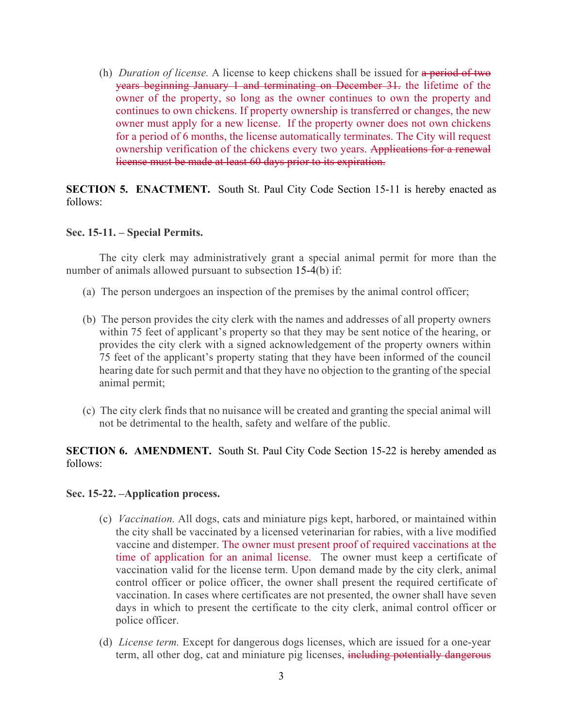(h) *Duration of license.* A license to keep chickens shall be issued for a period of two years beginning January 1 and terminating on December 31. the lifetime of the owner of the property, so long as the owner continues to own the property and continues to own chickens. If property ownership is transferred or changes, the new owner must apply for a new license. If the property owner does not own chickens for a period of 6 months, the license automatically terminates. The City will request ownership verification of the chickens every two years. Applications for a renewal license must be made at least 60 days prior to its expiration.

**SECTION 5. ENACTMENT.** South St. Paul City Code Section 15-11 is hereby enacted as follows:

### **Sec. 15-11. – Special Permits.**

The city clerk may administratively grant a special animal permit for more than the number of animals allowed pursuant to subsection 15-4(b) if:

- (a) The person undergoes an inspection of the premises by the animal control officer;
- (b) The person provides the city clerk with the names and addresses of all property owners within 75 feet of applicant's property so that they may be sent notice of the hearing, or provides the city clerk with a signed acknowledgement of the property owners within 75 feet of the applicant's property stating that they have been informed of the council hearing date for such permit and that they have no objection to the granting of the special animal permit;
- (c) The city clerk finds that no nuisance will be created and granting the special animal will not be detrimental to the health, safety and welfare of the public.

## **SECTION 6. AMENDMENT.** South St. Paul City Code Section 15-22 is hereby amended as follows:

#### **Sec. 15-22. –Application process.**

- (c) *Vaccination.* All dogs, cats and miniature pigs kept, harbored, or maintained within the city shall be vaccinated by a licensed veterinarian for rabies, with a live modified vaccine and distemper. The owner must present proof of required vaccinations at the time of application for an animal license. The owner must keep a certificate of vaccination valid for the license term. Upon demand made by the city clerk, animal control officer or police officer, the owner shall present the required certificate of vaccination. In cases where certificates are not presented, the owner shall have seven days in which to present the certificate to the city clerk, animal control officer or police officer.
- (d) *License term.* Except for dangerous dogs licenses, which are issued for a one-year term, all other dog, cat and miniature pig licenses, including potentially dangerous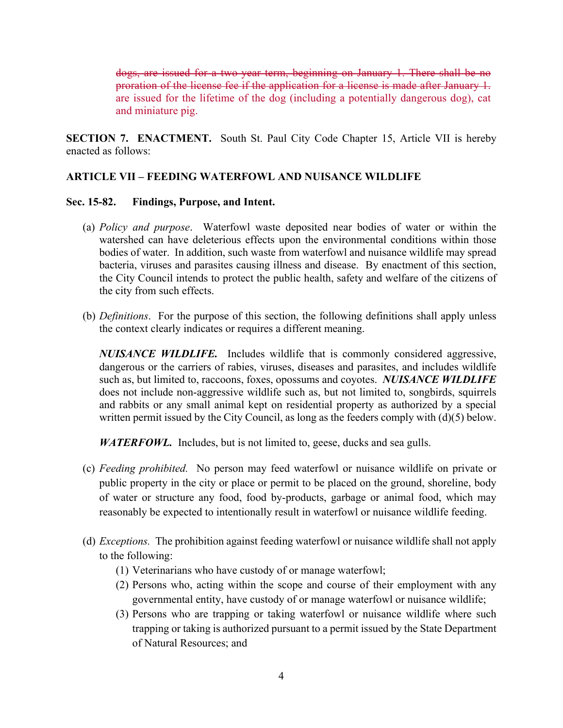dogs, are issued for a two-year term, beginning on January 1. There shall be no proration of the license fee if the application for a license is made after January 1. are issued for the lifetime of the dog (including a potentially dangerous dog), cat and miniature pig.

**SECTION 7. ENACTMENT.** South St. Paul City Code Chapter 15, Article VII is hereby enacted as follows:

## **ARTICLE VII – FEEDING WATERFOWL AND NUISANCE WILDLIFE**

## **Sec. 15-82. Findings, Purpose, and Intent.**

- (a) *Policy and purpose*. Waterfowl waste deposited near bodies of water or within the watershed can have deleterious effects upon the environmental conditions within those bodies of water. In addition, such waste from waterfowl and nuisance wildlife may spread bacteria, viruses and parasites causing illness and disease. By enactment of this section, the City Council intends to protect the public health, safety and welfare of the citizens of the city from such effects.
- (b) *Definitions*. For the purpose of this section, the following definitions shall apply unless the context clearly indicates or requires a different meaning.

*NUISANCE WILDLIFE.*Includes wildlife that is commonly considered aggressive, dangerous or the carriers of rabies, viruses, diseases and parasites, and includes wildlife such as, but limited to, raccoons, foxes, opossums and coyotes. *NUISANCE WILDLIFE*  does not include non-aggressive wildlife such as, but not limited to, songbirds, squirrels and rabbits or any small animal kept on residential property as authorized by a special written permit issued by the City Council, as long as the feeders comply with  $(d)(5)$  below.

*WATERFOWL.* Includes, but is not limited to, geese, ducks and sea gulls.

- (c) *Feeding prohibited.* No person may feed waterfowl or nuisance wildlife on private or public property in the city or place or permit to be placed on the ground, shoreline, body of water or structure any food, food by-products, garbage or animal food, which may reasonably be expected to intentionally result in waterfowl or nuisance wildlife feeding.
- (d) *Exceptions.* The prohibition against feeding waterfowl or nuisance wildlife shall not apply to the following:
	- (1) Veterinarians who have custody of or manage waterfowl;
	- (2) Persons who, acting within the scope and course of their employment with any governmental entity, have custody of or manage waterfowl or nuisance wildlife;
	- (3) Persons who are trapping or taking waterfowl or nuisance wildlife where such trapping or taking is authorized pursuant to a permit issued by the State Department of Natural Resources; and